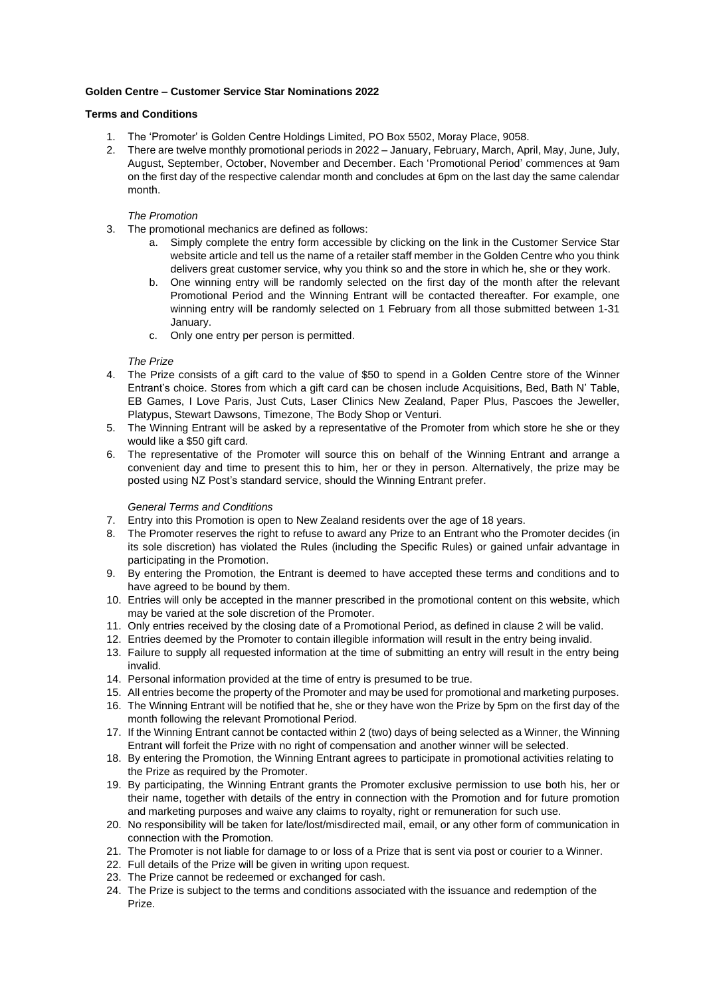### **Golden Centre – Customer Service Star Nominations 2022**

### **Terms and Conditions**

- 1. The 'Promoter' is Golden Centre Holdings Limited, PO Box 5502, Moray Place, 9058.
- 2. There are twelve monthly promotional periods in 2022 January, February, March, April, May, June, July, August, September, October, November and December. Each 'Promotional Period' commences at 9am on the first day of the respective calendar month and concludes at 6pm on the last day the same calendar month.

# *The Promotion*

- 3. The promotional mechanics are defined as follows:
	- a. Simply complete the entry form accessible by clicking on the link in the Customer Service Star website article and tell us the name of a retailer staff member in the Golden Centre who you think delivers great customer service, why you think so and the store in which he, she or they work.
	- b. One winning entry will be randomly selected on the first day of the month after the relevant Promotional Period and the Winning Entrant will be contacted thereafter. For example, one winning entry will be randomly selected on 1 February from all those submitted between 1-31 January.
	- c. Only one entry per person is permitted.

### *The Prize*

- 4. The Prize consists of a gift card to the value of \$50 to spend in a Golden Centre store of the Winner Entrant's choice. Stores from which a gift card can be chosen include Acquisitions, Bed, Bath N' Table, EB Games, I Love Paris, Just Cuts, Laser Clinics New Zealand, Paper Plus, Pascoes the Jeweller, Platypus, Stewart Dawsons, Timezone, The Body Shop or Venturi.
- 5. The Winning Entrant will be asked by a representative of the Promoter from which store he she or they would like a \$50 gift card.
- 6. The representative of the Promoter will source this on behalf of the Winning Entrant and arrange a convenient day and time to present this to him, her or they in person. Alternatively, the prize may be posted using NZ Post's standard service, should the Winning Entrant prefer.

# *General Terms and Conditions*

- 7. Entry into this Promotion is open to New Zealand residents over the age of 18 years.
- 8. The Promoter reserves the right to refuse to award any Prize to an Entrant who the Promoter decides (in its sole discretion) has violated the Rules (including the Specific Rules) or gained unfair advantage in participating in the Promotion.
- 9. By entering the Promotion, the Entrant is deemed to have accepted these terms and conditions and to have agreed to be bound by them.
- 10. Entries will only be accepted in the manner prescribed in the promotional content on this website, which may be varied at the sole discretion of the Promoter.
- 11. Only entries received by the closing date of a Promotional Period, as defined in clause 2 will be valid.
- 12. Entries deemed by the Promoter to contain illegible information will result in the entry being invalid.
- 13. Failure to supply all requested information at the time of submitting an entry will result in the entry being invalid.
- 14. Personal information provided at the time of entry is presumed to be true.
- 15. All entries become the property of the Promoter and may be used for promotional and marketing purposes.
- 16. The Winning Entrant will be notified that he, she or they have won the Prize by 5pm on the first day of the month following the relevant Promotional Period.
- 17. If the Winning Entrant cannot be contacted within 2 (two) days of being selected as a Winner, the Winning Entrant will forfeit the Prize with no right of compensation and another winner will be selected.
- 18. By entering the Promotion, the Winning Entrant agrees to participate in promotional activities relating to the Prize as required by the Promoter.
- 19. By participating, the Winning Entrant grants the Promoter exclusive permission to use both his, her or their name, together with details of the entry in connection with the Promotion and for future promotion and marketing purposes and waive any claims to royalty, right or remuneration for such use.
- 20. No responsibility will be taken for late/lost/misdirected mail, email, or any other form of communication in connection with the Promotion.
- 21. The Promoter is not liable for damage to or loss of a Prize that is sent via post or courier to a Winner.
- 22. Full details of the Prize will be given in writing upon request.
- 23. The Prize cannot be redeemed or exchanged for cash.
- 24. The Prize is subject to the terms and conditions associated with the issuance and redemption of the Prize.